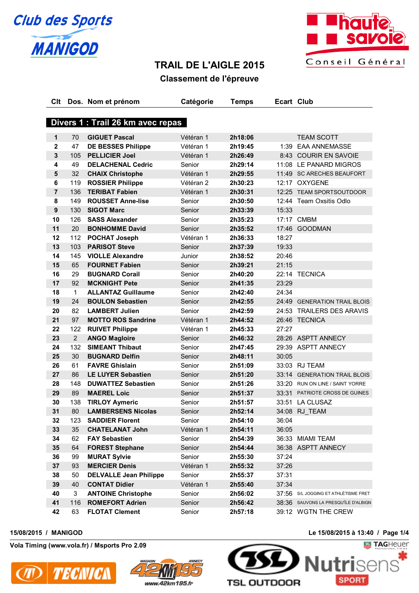



# **TRAIL DE L'AIGLE 2015**

# **Classement de l'épreuve**

| Clt                     |                | Dos. Nom et prénom                | Catégorie | <b>Temps</b> | Ecart Club |                                      |
|-------------------------|----------------|-----------------------------------|-----------|--------------|------------|--------------------------------------|
|                         |                |                                   |           |              |            |                                      |
|                         |                | Divers 1 : Trail 26 km avec repas |           |              |            |                                      |
| 1                       | 70             | <b>GIGUET Pascal</b>              | Vétéran 1 | 2h18:06      |            | <b>TEAM SCOTT</b>                    |
| $\overline{\mathbf{2}}$ | 47             | <b>DE BESSES Philippe</b>         | Vétéran 1 | 2h19:45      |            | 1:39 EAA ANNEMASSE                   |
| $\mathbf{3}$            | 105            | <b>PELLICIER Joel</b>             | Vétéran 1 | 2h26:49      |            | 8:43 COURIR EN SAVOIE                |
| 4                       | 49             | <b>DELACHENAL Cedric</b>          | Senior    | 2h29:14      |            | 11:08 LE PANARD MIGROS               |
| $5\phantom{1}$          | 32             | <b>CHAIX Christophe</b>           | Vétéran 1 | 2h29:55      |            | 11:49 SC ARECHES BEAUFORT            |
| $\bf 6$                 | 119            | <b>ROSSIER Philippe</b>           | Vétéran 2 | 2h30:23      |            | 12:17 OXYGENE                        |
| $\overline{7}$          | 136            | <b>TERIBAT Fabien</b>             | Vétéran 1 | 2h30:31      |            | 12:25 TEAM SPORTSOUTDOOR             |
| 8                       | 149            | <b>ROUSSET Anne-lise</b>          | Senior    | 2h30:50      |            | 12:44 Team Oxsitis Odlo              |
| $\boldsymbol{9}$        | 130            | <b>SIGOT Marc</b>                 | Senior    | 2h33:39      | 15:33      |                                      |
| 10                      | 126            | <b>SASS Alexander</b>             | Senior    | 2h35:23      |            | 17:17 CMBM                           |
| 11                      | 20             | <b>BONHOMME David</b>             | Senior    | 2h35:52      |            | 17:46 GOODMAN                        |
| 12                      | 112            | <b>POCHAT Joseph</b>              | Vétéran 1 | 2h36:33      | 18:27      |                                      |
| 13                      | 103            | <b>PARISOT Steve</b>              | Senior    | 2h37:39      | 19:33      |                                      |
| 14                      | 145            | <b>VIOLLE Alexandre</b>           | Junior    | 2h38:52      | 20:46      |                                      |
| 15                      | 65             | <b>FOURNET Fabien</b>             | Senior    | 2h39:21      | 21:15      |                                      |
| 16                      | 29             | <b>BUGNARD Corail</b>             | Senior    | 2h40:20      |            | 22:14 TECNICA                        |
| 17                      | 92             | <b>MCKNIGHT Pete</b>              | Senior    | 2h41:35      | 23:29      |                                      |
| 18                      | 1              | <b>ALLANTAZ Guillaume</b>         | Senior    | 2h42:40      | 24:34      |                                      |
| 19                      | 24             | <b>BOULON Sebastien</b>           | Senior    | 2h42:55      |            | 24:49 GENERATION TRAIL BLOIS         |
| 20                      | 82             | <b>LAMBERT Julien</b>             | Senior    | 2h42:59      |            | 24:53 TRAILERS DES ARAVIS            |
| 21                      | 97             | <b>MOTTO ROS Sandrine</b>         | Vétéran 1 | 2h44:52      |            | 26:46 TECNICA                        |
| 22                      | 122            | <b>RUIVET Philippe</b>            | Vétéran 1 | 2h45:33      | 27:27      |                                      |
| 23                      | $\overline{2}$ | <b>ANGO Magloire</b>              | Senior    | 2h46:32      |            | 28:26 ASPTT ANNECY                   |
| 24                      | 132            | <b>SIMEANT Thibaut</b>            | Senior    | 2h47:45      |            | 29:39 ASPTT ANNECY                   |
| 25                      | 30             | <b>BUGNARD Delfin</b>             | Senior    | 2h48:11      | 30:05      |                                      |
| 26                      | 61             | <b>FAVRE Ghislain</b>             | Senior    | 2h51:09      |            | 33:03 RJ TEAM                        |
| 27                      | 86             | <b>LE LUYER Sebastien</b>         | Senior    | 2h51:20      |            | 33:14 GENERATION TRAIL BLOIS         |
| 28                      | 148            | <b>DUWATTEZ Sebastien</b>         | Senior    | 2h51:26      |            | 33:20 RUN ON LINE / SAINT YORRE      |
| 29                      | 89             | <b>MAEREL Loic</b>                | Senior    | 2h51:37      |            | 33:31 PATRIOTE CROSS DE GUINES       |
| 30                      | 138            | <b>TIRLOY Aymeric</b>             | Senior    | 2h51:57      |            | 33:51 LA CLUSAZ                      |
| 31                      | 80             | <b>LAMBERSENS Nicolas</b>         | Senior    | 2h52:14      |            | 34:08 RJ TEAM                        |
| 32                      | 123            | <b>SADDIER Florent</b>            | Senior    | 2h54:10      | 36:04      |                                      |
| 33                      | 35             | <b>CHATELANAT John</b>            | Vétéran 1 | 2h54:11      | 36:05      |                                      |
| 34                      | 62             | <b>FAY Sebastien</b>              | Senior    | 2h54:39      |            | 36:33 MIAMI TEAM                     |
| 35                      | 64             | <b>FOREST Stephane</b>            | Senior    | 2h54:44      |            | 36:38 ASPTT ANNECY                   |
| 36                      | 99             | <b>MURAT Sylvie</b>               | Senior    | 2h55:30      | 37:24      |                                      |
| 37                      | 93             | <b>MERCIER Denis</b>              | Vétéran 1 | 2h55:32      | 37:26      |                                      |
| 38                      | 50             | <b>DELVALLE Jean Philippe</b>     | Senior    | 2h55:37      | 37:31      |                                      |
| 39                      | 40             | <b>CONTAT Didier</b>              | Vétéran 1 | 2h55:40      | 37:34      |                                      |
| 40                      | 3              | <b>ANTOINE Christophe</b>         | Senior    | 2h56:02      | 37:56      | S/L JOGGING ET ATHLÉTISME FRET       |
| 41                      | 116            | <b>ROMEFORT Adrien</b>            | Senior    | 2h56:42      |            | 38:36 SAUVONS LA PRESQU'ÎLE D'ALBIGN |
| 42                      | 63             | <b>FLOTAT Clement</b>             | Senior    | 2h57:18      |            | 39:12 WGTN THE CREW                  |

**Vola Timing (www.vola.fr) / Msports Pro 2.09**





## **15/08/2015 / MANIGOD Le 15/08/2015 à 13:40 / Page 1/4**

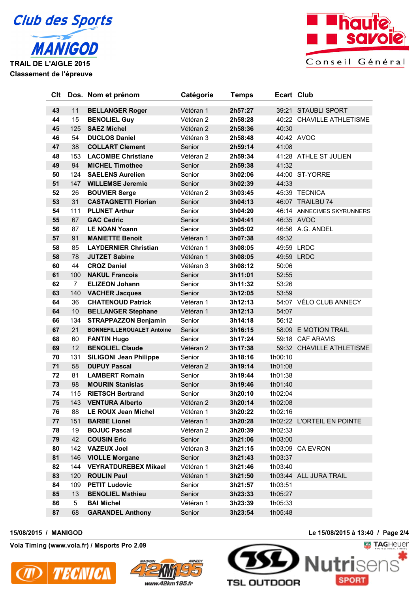



| Clt      |                | Dos. Nom et prénom                        | Catégorie              | <b>Temps</b>       | <b>Ecart Club</b> |                                                  |
|----------|----------------|-------------------------------------------|------------------------|--------------------|-------------------|--------------------------------------------------|
|          |                |                                           |                        |                    |                   |                                                  |
| 43<br>44 | 11<br>15       | <b>BELLANGER Roger</b>                    | Vétéran 1<br>Vétéran 2 | 2h57:27<br>2h58:28 |                   | 39:21 STAUBLI SPORT<br>40:22 CHAVILLE ATHLETISME |
| 45       | 125            | <b>BENOLIEL Guy</b><br><b>SAEZ Michel</b> | Vétéran <sub>2</sub>   |                    | 40:30             |                                                  |
| 46       | 54             | <b>DUCLOS Daniel</b>                      |                        | 2h58:36            |                   | 40:42 AVOC                                       |
|          |                |                                           | Vétéran 3              | 2h58:48            |                   |                                                  |
| 47       | 38             | <b>COLLART Clement</b>                    | Senior                 | 2h59:14            | 41:08             |                                                  |
| 48       | 153            | <b>LACOMBE Christiane</b>                 | Vétéran 2              | 2h59:34            |                   | 41:28 ATHLE ST JULIEN                            |
| 49       | 94             | <b>MICHEL Timothee</b>                    | Senior                 | 2h59:38            | 41:32             |                                                  |
| 50       | 124            | <b>SAELENS Aurelien</b>                   | Senior                 | 3h02:06            |                   | 44:00 ST-YORRE                                   |
| 51       | 147            | <b>WILLEMSE Jeremie</b>                   | Senior                 | 3h02:39            | 44:33             |                                                  |
| 52       | 26             | <b>BOUVIER Serge</b>                      | Vétéran 2              | 3h03:45            |                   | 45:39 TECNICA                                    |
| 53       | 31             | <b>CASTAGNETTI Florian</b>                | Senior                 | 3h04:13            |                   | 46:07 TRAILBU 74                                 |
| 54       | 111            | <b>PLUNET Arthur</b>                      | Senior                 | 3h04:20            |                   | 46:14 ANNECIMES SKYRUNNERS                       |
| 55       | 67             | <b>GAC Cedric</b>                         | Senior                 | 3h04:41            |                   | 46:35 AVOC                                       |
| 56       | 87             | <b>LE NOAN Yoann</b>                      | Senior                 | 3h05:02            |                   | 46:56 A.G. ANDEL                                 |
| 57       | 91             | <b>MANIETTE Benoit</b>                    | Vétéran 1              | 3h07:38            | 49:32             |                                                  |
| 58       | 85             | <b>LAYDERNIER Christian</b>               | Vétéran 1              | 3h08:05            |                   | 49:59 LRDC                                       |
| 58       | 78             | <b>JUTZET Sabine</b>                      | Vétéran 1              | 3h08:05            |                   | 49:59 LRDC                                       |
| 60       | 44             | <b>CROZ Daniel</b>                        | Vétéran 3              | 3h08:12            | 50:06             |                                                  |
| 61       | 100            | <b>NAKUL Francois</b>                     | Senior                 | 3h11:01            | 52:55             |                                                  |
| 62       | $\overline{7}$ | <b>ELIZEON Johann</b>                     | Senior                 | 3h11:32            | 53:26             |                                                  |
| 63       | 140            | <b>VACHER Jacques</b>                     | Senior                 | 3h12:05            | 53:59             |                                                  |
| 64       | 36             | <b>CHATENOUD Patrick</b>                  | Vétéran 1              | 3h12:13            |                   | 54:07 VÉLO CLUB ANNECY                           |
| 64       | 10             | <b>BELLANGER Stephane</b>                 | Vétéran 1              | 3h12:13            | 54:07             |                                                  |
| 66       | 134            | <b>STRAPPAZZON Benjamin</b>               | Senior                 | 3h14:18            | 56:12             |                                                  |
| 67       | 21             | <b>BONNEFILLEROUALET Antoine</b>          | Senior                 | 3h16:15            |                   | 58:09 E MOTION TRAIL                             |
| 68       | 60             | <b>FANTIN Hugo</b>                        | Senior                 | 3h17:24            |                   | 59:18 CAF ARAVIS                                 |
| 69       | 12             | <b>BENOLIEL Claude</b>                    | Vétéran 2              | 3h17:38            |                   | 59:32 CHAVILLE ATHLETISME                        |
| 70       | 131            | <b>SILIGONI Jean Philippe</b>             | Senior                 | 3h18:16            | 1h00:10           |                                                  |
| 71       | 58             | <b>DUPUY Pascal</b>                       | Vétéran 2              | 3h19:14            | 1h01:08           |                                                  |
| 72       | 81             | <b>LAMBERT Romain</b>                     | Senior                 | 3h19:44            | 1h01:38           |                                                  |
| 73       | 98             | <b>MOURIN Stanislas</b>                   | Senior                 | 3h19:46            | 1h01:40           |                                                  |
| 74       | 115            | <b>RIETSCH Bertrand</b>                   | Senior                 | 3h20:10            | 1h02:04           |                                                  |
| 75       | 143            | <b>VENTURA Alberto</b>                    | Vétéran 2              | 3h20:14            | 1h02:08           |                                                  |
| 76       | 88             | <b>LE ROUX Jean Michel</b>                | Vétéran 1              | 3h20:22            | 1h02:16           |                                                  |
| 77       | 151            | <b>BARBE Lionel</b>                       | Vétéran 1              | 3h20:28            |                   | 1h02:22 L'ORTEIL EN POINTE                       |
| 78       | 19             | <b>BOJUC Pascal</b>                       | Vétéran 2              | 3h20:39            | 1h02:33           |                                                  |
| 79       | 42             | <b>COUSIN Eric</b>                        | Senior                 | 3h21:06            | 1h03:00           |                                                  |
| 80       | 142            | <b>VAZEUX Joel</b>                        | Vétéran 3              | 3h21:15            |                   | 1h03:09 CA EVRON                                 |
| 81       | 146            | <b>VIOLLE Morgane</b>                     | Senior                 | 3h21:43            | 1h03:37           |                                                  |
| 82       | 144            | <b>VEYRATDUREBEX Mikael</b>               | Vétéran 1              | 3h21:46            | 1h03:40           |                                                  |
| 83       | 120            | <b>ROULIN Paul</b>                        | Vétéran 1              | 3h21:50            |                   | 1h03:44 ALL JURA TRAIL                           |
| 84       | 109            | <b>PETIT Ludovic</b>                      | Senior                 | 3h21:57            | 1h03:51           |                                                  |
| 85       | 13             | <b>BENOLIEL Mathieu</b>                   | Senior                 | 3h23:33            | 1h05:27           |                                                  |
| 86       | 5              | <b>BAI Michel</b>                         | Vétéran 1              | 3h23:39            | 1h05:33           |                                                  |
| 87       | 68             | <b>GARANDEL Anthony</b>                   | Senior                 | 3h23:54            | 1h05:48           |                                                  |

**Vola Timing (www.vola.fr) / Msports Pro 2.09**





**15/08/2015 / MANIGOD Le 15/08/2015 à 13:40 / Page 2/4**

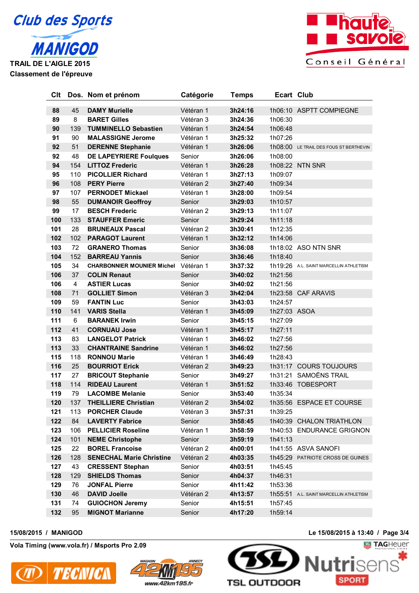



 45 **DAMY Murielle** Vétéran 1 **3h24:16** 1h06:10 ASPTT COMPIEGNE 8 **BARET Gilles** Vétéran 3 **3h24:36** 1h06:30 139 **TUMMINELLO Sebastien** Vétéran 1 **3h24:54** 1h06:48 90 **MALASSIGNE Jerome** Vétéran 1 **3h25:32** 1h07:26 51 **DERENNE Stephanie** Vétéran 1 **3h26:06** 1h08:00 LE TRAIL DES FOUS ST BERTHEVIN 48 **DE LAPEYRIERE Foulques** Senior **3h26:06** 1h08:00 154 **LITTOZ Frederic** Vétéran 1 **3h26:28** 1h08:22 NTN SNR 110 **PICOLLIER Richard** Vétéran 1 **3h27:13** 1h09:07 108 **PERY Pierre** Vétéran 2 **3h27:40** 1h09:34 107 **PERNODET Mickael** Vétéran 1 **3h28:00** 1h09:54 55 **DUMANOIR Geoffroy** Senior **3h29:03** 1h10:57 17 **BESCH Frederic** Vétéran 2 **3h29:13** 1h11:07 133 **STAUFFER Emeric** Senior **3h29:24** 1h11:18 28 **BRUNEAUX Pascal** Vétéran 2 **3h30:41** 1h12:35 102 **PARAGOT Laurent** Vétéran 1 **3h32:12** 1h14:06 72 **GRANERO Thomas** Senior **3h36:08** 1h18:02 ASO NTN SNR 152 **BARREAU Yannis** Senior **3h36:46** 1h18:40 34 **CHARBONNIER MOUNIER Michel** Vétéran 1 **3h37:32** 1h19:26 A.L. SAINT MARCELLIN ATHLETISM 37 **COLIN Renaut** Senior **3h40:02** 1h21:56 4 **ASTIER Lucas** Senior **3h40:02** 1h21:56 71 **GOLLIET Simon** Vétéran 3 **3h42:04** 1h23:58 CAF ARAVIS 59 **FANTIN Luc** Senior **3h43:03** 1h24:57 141 **VARIS Stella** Vétéran 1 **3h45:09** 1h27:03 ASOA 6 **BARANEK Irwin** Senior **3h45:15** 1h27:09 41 **CORNUAU Jose** Vétéran 1 **3h45:17** 1h27:11 83 **LANGELOT Patrick** Vétéran 1 **3h46:02** 1h27:56 33 **CHANTRAINE Sandrine** Vétéran 1 **3h46:02** 1h27:56 118 **RONNOU Marie** Vétéran 1 **3h46:49** 1h28:43 25 **BOURRIOT Erick** Vétéran 2 **3h49:23** 1h31:17 COURS TOUJOURS 27 **BRICOUT Stephanie** Senior **3h49:27** 1h31:21 SAMOËNS TRAIL 114 **RIDEAU Laurent** Vétéran 1 **3h51:52** 1h33:46 TOBESPORT 79 **LACOMBE Melanie** Senior **3h53:40** 1h35:34 137 **THEILLIERE Christian** Vétéran 2 **3h54:02** 1h35:56 ESPACE ET COURSE 113 **PORCHER Claude** Vétéran 3 **3h57:31** 1h39:25 84 **LAVERTY Fabrice** Senior **3h58:45** 1h40:39 CHALON TRIATHLON 106 **PELLICIER Roseline** Vétéran 1 **3h58:59** 1h40:53 ENDURANCE GRIGNON 101 **NEME Christophe** Senior **3h59:19** 1h41:13 22 **BOREL Francoise** Vétéran 2 **4h00:01** 1h41:55 ASVA SANOFI 128 **SENECHAL Marie Christine** Vétéran 2 **4h03:35** 1h45:29 PATRIOTE CROSS DE GUINES 43 **CRESSENT Stephan** Senior **4h03:51** 1h45:45 129 **SHIELDS Thomas** Senior **4h04:37** 1h46:31 76 **JONFAL Pierre** Senior **4h11:42** 1h53:36 46 **DAVID Joelle** Vétéran 2 **4h13:57** 1h55:51 A.L. SAINT MARCELLIN ATHLETISM 74 **GUIOCHON Jeremy** Senior **4h15:51** 1h57:45 95 **MIGNOT Marianne** Senior **4h17:20** 1h59:14

**Clt Dos. Nom et prénom Catégorie Temps Ecart Club**

**Vola Timing (www.vola.fr) / Msports Pro 2.09**





**15/08/2015 / MANIGOD Le 15/08/2015 à 13:40 / Page 3/4**

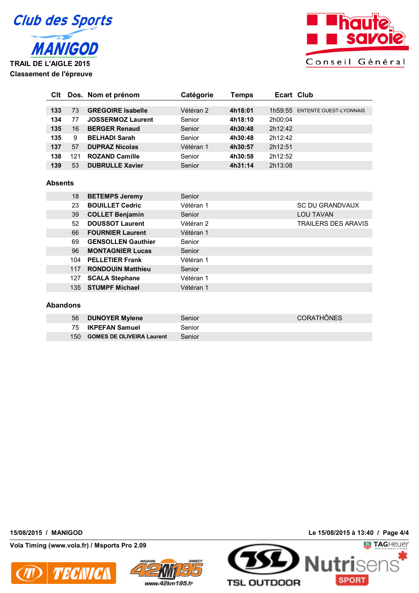



| CIt |     | Dos. Nom et prénom       | Catégorie | Temps   | Ecart Club |                               |
|-----|-----|--------------------------|-----------|---------|------------|-------------------------------|
|     |     |                          |           |         |            |                               |
| 133 | 73  | <b>GREGOIRE Isabelle</b> | Vétéran 2 | 4h18:01 | 1h59:55    | <b>ENTENTE OUEST-LYONNAIS</b> |
| 134 | 77  | <b>JOSSERMOZ Laurent</b> | Senior    | 4h18:10 | 2h00:04    |                               |
| 135 | 16  | <b>BERGER Renaud</b>     | Senior    | 4h30:48 | 2h12:42    |                               |
| 135 | 9   | <b>BELHADI Sarah</b>     | Senior    | 4h30:48 | 2h12:42    |                               |
| 137 | 57  | <b>DUPRAZ Nicolas</b>    | Vétéran 1 | 4h30:57 | 2h12:51    |                               |
| 138 | 121 | <b>ROZAND Camille</b>    | Senior    | 4h30:58 | 2h12:52    |                               |
| 139 | 53  | <b>DUBRULLE Xavier</b>   | Senior    | 4h31:14 | 2h13:08    |                               |

### **Absents**

| 18  | <b>BETEMPS Jeremy</b>     | Senior    |                            |
|-----|---------------------------|-----------|----------------------------|
| 23  | <b>BOUILLET Cedric</b>    | Vétéran 1 | <b>SC DU GRANDVAUX</b>     |
| 39  | <b>COLLET Benjamin</b>    | Senior    | <b>LOU TAVAN</b>           |
| 52  | <b>DOUSSOT Laurent</b>    | Vétéran 2 | <b>TRAILERS DES ARAVIS</b> |
| 66  | <b>FOURNIER Laurent</b>   | Vétéran 1 |                            |
| 69  | <b>GENSOLLEN Gauthier</b> | Senior    |                            |
| 96  | <b>MONTAGNIER Lucas</b>   | Senior    |                            |
| 104 | <b>PELLETIER Frank</b>    | Vétéran 1 |                            |
| 117 | <b>RONDOUIN Matthieu</b>  | Senior    |                            |
| 127 | <b>SCALA Stephane</b>     | Vétéran 1 |                            |
|     | 135 STUMPF Michael        | Vétéran 1 |                            |
|     |                           |           |                            |

## **Abandons**

| 56    | <b>DUNOYER Mylene</b>            | Senior | <b>CORATHÖNES</b> |
|-------|----------------------------------|--------|-------------------|
|       | 75 <b>IKPEFAN Samuel</b>         | Senior |                   |
| 150 - | <b>GOMES DE OLIVEIRA Laurent</b> | Senior |                   |

**Vola Timing (www.vola.fr) / Msports Pro 2.09**





**15/08/2015 / MANIGOD Le 15/08/2015 à 13:40 / Page 4/4**

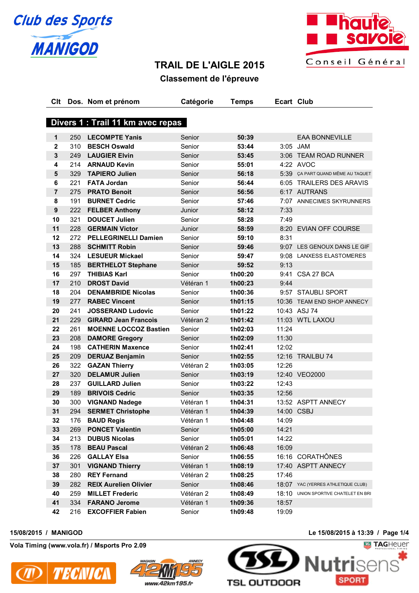



# **TRAIL DE L'AIGLE 2015**

# **Classement de l'épreuve**

| Clt              |     | Dos. Nom et prénom                | Catégorie | <b>Temps</b> | <b>Ecart Club</b> |                                    |
|------------------|-----|-----------------------------------|-----------|--------------|-------------------|------------------------------------|
|                  |     |                                   |           |              |                   |                                    |
|                  |     | Divers 1 : Trail 11 km avec repas |           |              |                   |                                    |
|                  |     |                                   |           |              |                   |                                    |
| 1                | 250 | <b>LECOMPTE Yanis</b>             | Senior    | 50:39        |                   | <b>EAA BONNEVILLE</b>              |
| $\mathbf{2}$     | 310 | <b>BESCH Oswald</b>               | Senior    | 53:44        |                   | 3:05 JAM                           |
| 3                | 249 | <b>LAUGIER Elvin</b>              | Senior    | 53:45        |                   | 3:06 TEAM ROAD RUNNER              |
| 4                | 214 | <b>ARNAUD Kevin</b>               | Senior    | 55:01        |                   | 4:22 AVOC                          |
| 5                | 329 | <b>TAPIERO Julien</b>             | Senior    | 56:18        |                   | 5:39 ÇA PART QUAND MÊME AU TAQUET  |
| 6                | 221 | <b>FATA Jordan</b>                | Senior    | 56:44        |                   | 6:05 TRAILERS DES ARAVIS           |
| $\overline{7}$   | 275 | <b>PRATO Benoit</b>               | Senior    | 56:56        |                   | 6:17 AUTRANS                       |
| 8                | 191 | <b>BURNET Cedric</b>              | Senior    | 57:46        |                   | 7:07 ANNECIMES SKYRUNNERS          |
| $\boldsymbol{9}$ | 222 | <b>FELBER Anthony</b>             | Junior    | 58:12        | 7:33              |                                    |
| 10               | 321 | <b>DOUCET Julien</b>              | Senior    | 58:28        | 7:49              |                                    |
| 11               | 228 | <b>GERMAIN Victor</b>             | Junior    | 58:59        |                   | 8:20 EVIAN OFF COURSE              |
| 12               | 272 | <b>PELLEGRINELLI Damien</b>       | Senior    | 59:10        | 8:31              |                                    |
| 13               | 288 | <b>SCHMITT Robin</b>              | Senior    | 59:46        |                   | 9:07 LES GENOUX DANS LE GIF        |
| 14               | 324 | <b>LESUEUR Mickael</b>            | Senior    | 59:47        |                   | 9:08 LANXESS ELASTOMERES           |
| 15               | 185 | <b>BERTHELOT Stephane</b>         | Senior    | 59:52        | 9:13              |                                    |
| 16               | 297 | <b>THIBIAS Karl</b>               | Senior    | 1h00:20      |                   | 9:41 CSA 27 BCA                    |
| 17               | 210 | <b>DROST David</b>                | Vétéran 1 | 1h00:23      | 9:44              |                                    |
| 18               | 204 | <b>DENAMBRIDE Nicolas</b>         | Senior    | 1h00:36      |                   | 9:57 STAUBLI SPORT                 |
| 19               | 277 | <b>RABEC Vincent</b>              | Senior    | 1h01:15      |                   | 10:36 TEAM END SHOP ANNECY         |
| 20               | 241 | <b>JOSSERAND Ludovic</b>          | Senior    | 1h01:22      |                   | 10:43 ASJ 74                       |
| 21               | 229 | <b>GIRARD Jean Francois</b>       | Vétéran 2 | 1h01:42      |                   | 11:03 WTL LAXOU                    |
| 22               | 261 | <b>MOENNE LOCCOZ Bastien</b>      | Senior    | 1h02:03      | 11:24             |                                    |
| 23               | 208 | <b>DAMORE Gregory</b>             | Senior    | 1h02:09      | 11:30             |                                    |
| 24               | 198 | <b>CATHERIN Maxence</b>           | Senior    | 1h02:41      | 12:02             |                                    |
| 25               | 209 | <b>DERUAZ Benjamin</b>            | Senior    | 1h02:55      |                   | 12:16 TRAILBU 74                   |
| 26               | 322 | <b>GAZAN Thierry</b>              | Vétéran 2 | 1h03:05      | 12:26             |                                    |
| 27               | 320 | <b>DELAMUR Julien</b>             | Senior    | 1h03:19      |                   | 12:40 VEO2000                      |
| 28               | 237 | <b>GUILLARD Julien</b>            | Senior    | 1h03:22      | 12:43             |                                    |
| 29               | 189 | <b>BRIVOIS Cedric</b>             | Senior    | 1h03:35      | 12:56             |                                    |
| 30               | 300 | <b>VIGNAND Nadege</b>             | Vétéran 1 | 1h04:31      |                   | 13:52 ASPTT ANNECY                 |
| 31               | 294 | <b>SERMET Christophe</b>          | Vétéran 1 | 1h04:39      |                   | 14:00 CSBJ                         |
| 32               | 176 | <b>BAUD Regis</b>                 | Vétéran 1 | 1h04:48      | 14:09             |                                    |
| 33               | 269 | <b>PONCET Valentin</b>            | Senior    | 1h05:00      | 14:21             |                                    |
| 34               | 213 | <b>DUBUS Nicolas</b>              | Senior    | 1h05:01      | 14:22             |                                    |
| 35               | 178 | <b>BEAU Pascal</b>                | Vétéran 2 | 1h06:48      | 16:09             |                                    |
| 36               | 226 | <b>GALLAY Elsa</b>                | Senior    | 1h06:55      |                   | 16:16 CORATHÔNES                   |
| 37               | 301 | <b>VIGNAND Thierry</b>            | Vétéran 1 | 1h08:19      |                   | 17:40 ASPTT ANNECY                 |
| 38               | 280 | <b>REY Fernand</b>                | Vétéran 2 | 1h08:25      | 17:46             |                                    |
| 39               | 282 | <b>REIX Aurelien Olivier</b>      | Senior    | 1h08:46      |                   | 18:07 YAC (YERRES ATHLETIQUE CLUB) |
| 40               | 259 | <b>MILLET Frederic</b>            | Vétéran 2 | 1h08:49      | 18:10             | UNION SPORTIVE CHATELET EN BRI     |
| 41               | 334 | <b>FARANO Jerome</b>              | Vétéran 1 | 1h09:36      | 18:57             |                                    |
| 42               | 216 | <b>EXCOFFIER Fabien</b>           | Senior    | 1h09:48      | 19:09             |                                    |
|                  |     |                                   |           |              |                   |                                    |

**Vola Timing (www.vola.fr) / Msports Pro 2.09**





**15/08/2015 / MANIGOD Le 15/08/2015 à 13:39 / Page 1/4**

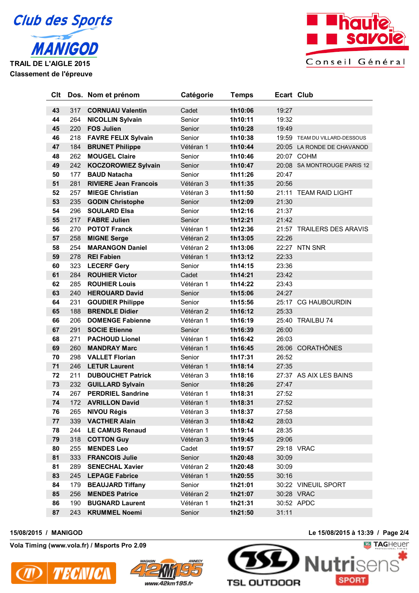



 317 **CORNUAU Valentin** Cadet **1h10:06** 19:27 264 **NICOLLIN Sylvain** Senior **1h10:11** 19:32 220 **FOS Julien** Senior **1h10:28** 19:49 218 **FAVRE FELIX Sylvain** Senior **1h10:38** 19:59 TEAM DU VILLARD-DESSOUS 184 **BRUNET Philippe** Vétéran 1 **1h10:44** 20:05 LA RONDE DE CHAVANOD 262 **MOUGEL Claire** Senior **1h10:46** 20:07 COHM 242 **KOCZOROWIEZ Sylvain** Senior **1h10:47** 20:08 SA MONTROUGE PARIS 12 177 **BAUD Natacha** Senior **1h11:26** 20:47 281 **RIVIERE Jean Francois** Vétéran 3 **1h11:35** 20:56 257 **MIEGE Christian** Vétéran 3 **1h11:50** 21:11 TEAM RAID LIGHT 235 **GODIN Christophe** Senior **1h12:09** 21:30 296 **SOULARD Elsa** Senior **1h12:16** 21:37 217 **FABRE Julien** Senior **1h12:21** 21:42 270 **POTOT Franck** Vétéran 1 **1h12:36** 21:57 TRAILERS DES ARAVIS 258 **MIGNE Serge** Vétéran 2 **1h13:05** 22:26 254 **MARANGON Daniel** Vétéran 2 **1h13:06** 22:27 NTN SNR 278 **REI Fabien** Vétéran 1 **1h13:12** 22:33 323 **LECERF Gery** Senior **1h14:15** 23:36 284 **ROUHIER Victor** Cadet **1h14:21** 23:42 285 **ROUHIER Louis** Vétéran 1 **1h14:22** 23:43 240 **HEROUARD David** Senior **1h15:06** 24:27 231 **GOUDIER Philippe** Senior **1h15:56** 25:17 CG HAUBOURDIN 188 **BRENDLE Didier** Vétéran 2 **1h16:12** 25:33 206 **DOMENGE Fabienne** Vétéran 1 **1h16:19** 25:40 TRAILBU 74 291 **SOCIE Etienne** Senior **1h16:39** 26:00 271 **PACHOUD Lionel** Vétéran 1 **1h16:42** 26:03 260 **MANDRAY Marc** Vétéran 1 **1h16:45** 26:06 CORATHÔNES 298 **VALLET Florian** Senior **1h17:31** 26:52 246 **LETUR Laurent** Vétéran 1 **1h18:14** 27:35 211 **DUBOUCHET Patrick** Vétéran 3 **1h18:16** 27:37 AS AIX LES BAINS 232 **GUILLARD Sylvain** Senior **1h18:26** 27:47 267 **PERDRIEL Sandrine** Vétéran 1 **1h18:31** 27:52 172 **AVRILLON David** Vétéran 1 **1h18:31** 27:52 265 **NIVOU Régis** Vétéran 3 **1h18:37** 27:58 339 **VACTHER Alain** Vétéran 3 **1h18:42** 28:03 244 **LE CAMUS Renaud** Vétéran 1 **1h19:14** 28:35 318 **COTTON Guy** Vétéran 3 **1h19:45** 29:06 255 **MENDES Leo** Cadet **1h19:57** 29:18 VRAC 333 **FRANCOIS Julie** Senior **1h20:48** 30:09 289 **SENECHAL Xavier** Vétéran 2 **1h20:48** 30:09 245 **LEPAGE Fabrice** Vétéran 1 **1h20:55** 30:16 179 **BEAUJARD Tiffany** Senior **1h21:01** 30:22 VINEUIL SPORT 256 **MENDES Patrice** Vétéran 2 **1h21:07** 30:28 VRAC 190 **BUGNARD Laurent** Vétéran 1 **1h21:31** 30:52 APDC 243 **KRUMMEL Noemi** Senior **1h21:50** 31:11

**Clt Dos. Nom et prénom Catégorie Temps Ecart Club**

**Vola Timing (www.vola.fr) / Msports Pro 2.09**





**15/08/2015 / MANIGOD Le 15/08/2015 à 13:39 / Page 2/4**

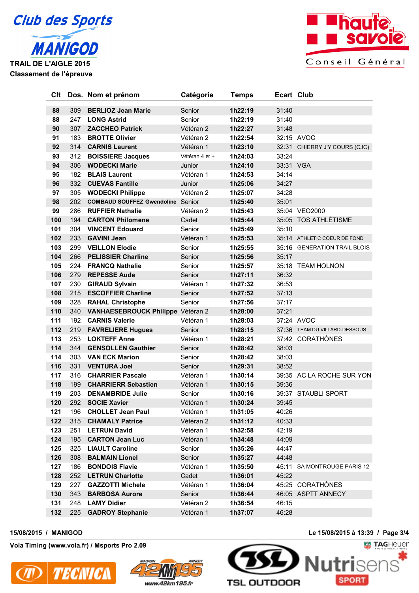



| Clt |     | Dos. Nom et prénom                       | Catégorie      | Temps   | <b>Ecart Club</b> |                               |
|-----|-----|------------------------------------------|----------------|---------|-------------------|-------------------------------|
| 88  | 309 | <b>BERLIOZ Jean Marie</b>                | Senior         | 1h22:19 | 31:40             |                               |
| 88  | 247 | <b>LONG Astrid</b>                       | Senior         | 1h22:19 | 31:40             |                               |
| 90  | 307 | <b>ZACCHEO Patrick</b>                   | Vétéran 2      | 1h22:27 | 31:48             |                               |
| 91  | 183 | <b>BROTTE Olivier</b>                    | Vétéran 2      | 1h22:54 |                   | 32:15 AVOC                    |
| 92  | 314 | <b>CARNIS Laurent</b>                    | Vétéran 1      | 1h23:10 |                   | 32:31 CHIERRY J'Y COURS (CJC) |
| 93  | 312 | <b>BOISSIERE Jacques</b>                 | Vétéran 4 et + | 1h24:03 | 33:24             |                               |
| 94  | 306 | <b>WODECKI Marie</b>                     | Junior         | 1h24:10 | 33:31 VGA         |                               |
| 95  | 182 | <b>BLAIS Laurent</b>                     | Vétéran 1      | 1h24:53 | 34:14             |                               |
| 96  | 332 | <b>CUEVAS Fantille</b>                   | Junior         | 1h25:06 | 34:27             |                               |
| 97  | 305 | <b>WODECKI Philippe</b>                  | Vétéran 2      | 1h25:07 | 34:28             |                               |
|     | 202 |                                          |                |         |                   |                               |
| 98  |     | <b>COMBAUD SOUFFEZ Gwendoline Senior</b> |                | 1h25:40 | 35:01             |                               |
| 99  | 286 | <b>RUFFIER Nathalie</b>                  | Vétéran 2      | 1h25:43 |                   | 35:04 VEO2000                 |
| 100 | 194 | <b>CARTON Philomene</b>                  | Cadet          | 1h25:44 |                   | 35:05 TOS ATHLÉTISME          |
| 101 | 304 | <b>VINCENT Edouard</b>                   | Senior         | 1h25:49 | 35:10             |                               |
| 102 | 233 | <b>GAVINI Jean</b>                       | Vétéran 1      | 1h25:53 |                   | 35:14 ATHLETIC COEUR DE FOND  |
| 103 | 299 | <b>VEILLON Elodie</b>                    | Senior         | 1h25:55 |                   | 35:16 GENERATION TRAIL BLOIS  |
| 104 | 266 | <b>PELISSIER Charline</b>                | Senior         | 1h25:56 | 35:17             |                               |
| 105 | 224 | <b>FRANCQ Nathalie</b>                   | Senior         | 1h25:57 |                   | 35:18 TEAM HOLNON             |
| 106 | 279 | <b>REPESSE Aude</b>                      | Senior         | 1h27:11 | 36:32             |                               |
| 107 | 230 | <b>GIRAUD Sylvain</b>                    | Vétéran 1      | 1h27:32 | 36:53             |                               |
| 108 | 215 | <b>ESCOFFIER Charline</b>                | Senior         | 1h27:52 | 37:13             |                               |
| 109 | 328 | <b>RAHAL Christophe</b>                  | Senior         | 1h27:56 | 37:17             |                               |
| 110 | 340 | VANHAESEBROUCK Philippe Vétéran 2        |                | 1h28:00 | 37:21             |                               |
| 111 | 192 | <b>CARNIS Valerie</b>                    | Vétéran 1      | 1h28:03 |                   | 37:24 AVOC                    |
| 112 | 219 | <b>FAVRELIERE Hugues</b>                 | Senior         | 1h28:15 |                   | 37:36 TEAM DU VILLARD-DESSOUS |
| 113 | 253 | <b>LOKTEFF Anne</b>                      | Vétéran 1      | 1h28:21 |                   | 37:42 CORATHÔNES              |
| 114 | 344 | <b>GENSOLLEN Gauthier</b>                | Senior         | 1h28:42 | 38:03             |                               |
| 114 | 303 | <b>VAN ECK Marion</b>                    | Senior         | 1h28:42 | 38:03             |                               |
| 116 | 331 | <b>VENTURA Joel</b>                      | Senior         | 1h29:31 | 38:52             |                               |
| 117 | 316 | <b>CHARRIER Pascale</b>                  | Vétéran 1      | 1h30:14 |                   | 39:35 AC LA ROCHE SUR YON     |
| 118 | 199 | <b>CHARRIERR Sebastien</b>               | Vétéran 1      | 1h30:15 | 39:36             |                               |
| 119 | 203 | <b>DENAMBRIDE Julie</b>                  | Senior         | 1h30:16 |                   | 39:37 STAUBLI SPORT           |
| 120 | 292 | <b>SOCIE Xavier</b>                      | Vétéran 1      | 1h30:24 | 39:45             |                               |
| 121 | 196 | <b>CHOLLET Jean Paul</b>                 | Vétéran 1      | 1h31:05 | 40:26             |                               |
| 122 | 315 | <b>CHAMALY Patrice</b>                   | Vétéran 2      | 1h31:12 | 40:33             |                               |
| 123 | 251 | <b>LETRUN David</b>                      | Vétéran 1      | 1h32:58 | 42:19             |                               |
| 124 | 195 | <b>CARTON Jean Luc</b>                   | Vétéran 1      | 1h34:48 | 44:09             |                               |
| 125 | 325 | <b>LIAULT Caroline</b>                   | Senior         | 1h35:26 | 44:47             |                               |
| 126 | 308 | <b>BALMAIN Lionel</b>                    | Senior         | 1h35:27 | 44:48             |                               |
| 127 | 186 | <b>BONDOIS Flavie</b>                    | Vétéran 1      | 1h35:50 |                   | 45:11 SA MONTROUGE PARIS 12   |
| 128 | 252 | <b>LETRUN Charlotte</b>                  | Cadet          | 1h36:01 | 45:22             |                               |
| 129 | 227 | <b>GAZZOTTI Michele</b>                  | Vétéran 1      | 1h36:04 |                   | 45:25 CORATHÔNES              |
| 130 | 343 | <b>BARBOSA Aurore</b>                    | Senior         | 1h36:44 |                   | 46:05 ASPTT ANNECY            |
| 131 | 248 | <b>LAMY Didier</b>                       | Vétéran 2      | 1h36:54 | 46:15             |                               |
| 132 | 225 | <b>GADROY Stephanie</b>                  | Vétéran 1      | 1h37:07 | 46:28             |                               |
|     |     |                                          |                |         |                   |                               |

**Vola Timing (www.vola.fr) / Msports Pro 2.09**





**15/08/2015 / MANIGOD Le 15/08/2015 à 13:39 / Page 3/4**